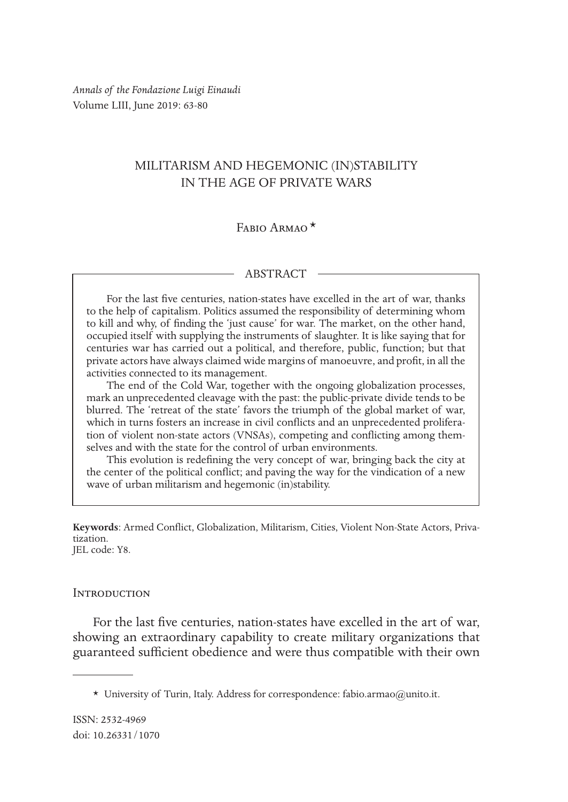*Annals of the Fondazione Luigi Einaudi* Volume LIII, June 2019: 63-80

# MILITARISM AND HEGEMONIC (IN)STABILITY IN THE AGE OF PRIVATE WARS

## FABIO ARMAO<sup>\*</sup>

#### ABSTRACT

For the last five centuries, nation-states have excelled in the art of war, thanks to the help of capitalism. Politics assumed the responsibility of determining whom to kill and why, of finding the 'just cause' for war. The market, on the other hand, occupied itself with supplying the instruments of slaughter. It is like saying that for centuries war has carried out a political, and therefore, public, function; but that private actors have always claimed wide margins of manoeuvre, and profit, in all the activities connected to its management.

The end of the Cold War, together with the ongoing globalization processes, mark an unprecedented cleavage with the past: the public-private divide tends to be blurred. The 'retreat of the state' favors the triumph of the global market of war, which in turns fosters an increase in civil conflicts and an unprecedented proliferation of violent non-state actors (VNSAs), competing and conflicting among themselves and with the state for the control of urban environments.

This evolution is redefining the very concept of war, bringing back the city at the center of the political conflict; and paving the way for the vindication of a new wave of urban militarism and hegemonic (in)stability.

**Keywords**: Armed Conflict, Globalization, Militarism, Cities, Violent Non-State Actors, Priva- tization.

JEL code: Y8.

#### **INTRODUCTION**

For the last five centuries, nation-states have excelled in the art of war, showing an extraordinary capability to create military organizations that guaranteed sufficient obedience and were thus compatible with their own

<sup>\*</sup> University of Turin, Italy. Address for correspondence: fabio.armao@unito.it.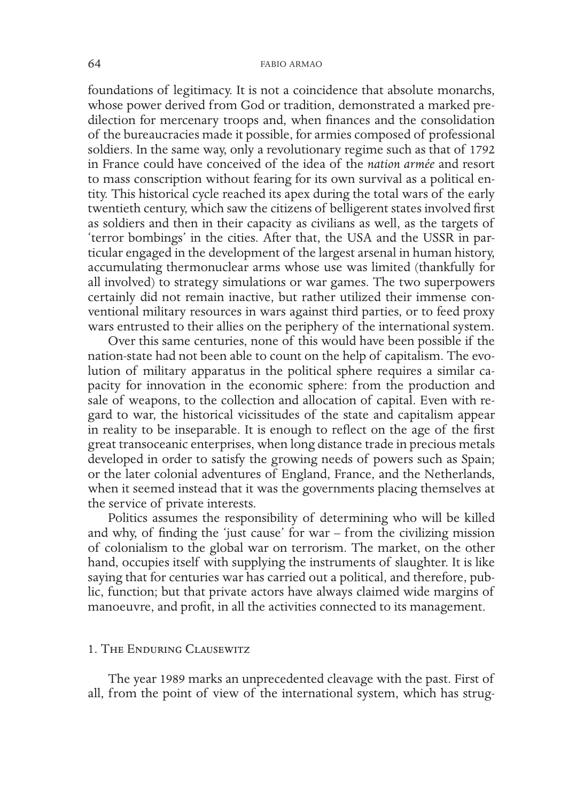foundations of legitimacy. It is not a coincidence that absolute monarchs, whose power derived from God or tradition, demonstrated a marked predilection for mercenary troops and, when finances and the consolidation of the bureaucracies made it possible, for armies composed of professional soldiers. In the same way, only a revolutionary regime such as that of 1792 in France could have conceived of the idea of the *nation armée* and resort to mass conscription without fearing for its own survival as a political entity. This historical cycle reached its apex during the total wars of the early twentieth century, which saw the citizens of belligerent states involved first as soldiers and then in their capacity as civilians as well, as the targets of 'terror bombings' in the cities. After that, the USA and the USSR in particular engaged in the development of the largest arsenal in human history, accumulating thermonuclear arms whose use was limited (thankfully for all involved) to strategy simulations or war games. The two superpowers certainly did not remain inactive, but rather utilized their immense conventional military resources in wars against third parties, or to feed proxy wars entrusted to their allies on the periphery of the international system.

Over this same centuries, none of this would have been possible if the nation-state had not been able to count on the help of capitalism. The evolution of military apparatus in the political sphere requires a similar capacity for innovation in the economic sphere: from the production and sale of weapons, to the collection and allocation of capital. Even with regard to war, the historical vicissitudes of the state and capitalism appear in reality to be inseparable. It is enough to reflect on the age of the first great transoceanic enterprises, when long distance trade in precious metals developed in order to satisfy the growing needs of powers such as Spain; or the later colonial adventures of England, France, and the Netherlands, when it seemed instead that it was the governments placing themselves at the service of private interests.

Politics assumes the responsibility of determining who will be killed and why, of finding the 'just cause' for war – from the civilizing mission of colonialism to the global war on terrorism. The market, on the other hand, occupies itself with supplying the instruments of slaughter. It is like saying that for centuries war has carried out a political, and therefore, public, function; but that private actors have always claimed wide margins of manoeuvre, and profit, in all the activities connected to its management.

### 1. The Enduring Clausewitz

The year 1989 marks an unprecedented cleavage with the past. First of all, from the point of view of the international system, which has strug-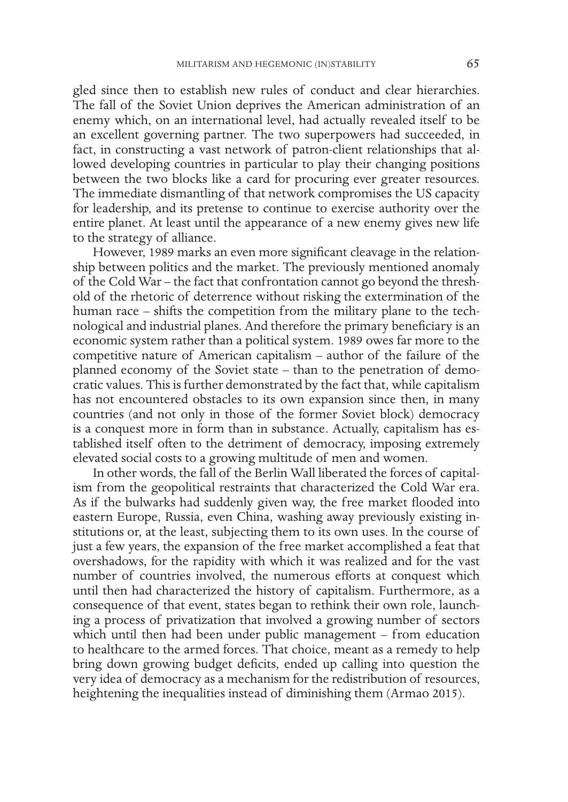gled since then to establish new rules of conduct and clear hierarchies. The fall of the Soviet Union deprives the American administration of an enemy which, on an international level, had actually revealed itself to be an excellent governing partner. The two superpowers had succeeded, in fact, in constructing a vast network of patron-client relationships that allowed developing countries in particular to play their changing positions between the two blocks like a card for procuring ever greater resources. The immediate dismantling of that network compromises the US capacity for leadership, and its pretense to continue to exercise authority over the entire planet. At least until the appearance of a new enemy gives new life to the strategy of alliance.

However, 1989 marks an even more significant cleavage in the relationship between politics and the market. The previously mentioned anomaly of the Cold War – the fact that confrontation cannot go beyond the threshold of the rhetoric of deterrence without risking the extermination of the human race – shifts the competition from the military plane to the technological and industrial planes. And therefore the primary beneficiary is an economic system rather than a political system. 1989 owes far more to the competitive nature of American capitalism – author of the failure of the planned economy of the Soviet state – than to the penetration of democratic values. This is further demonstrated by the fact that, while capitalism has not encountered obstacles to its own expansion since then, in many countries (and not only in those of the former Soviet block) democracy is a conquest more in form than in substance. Actually, capitalism has established itself often to the detriment of democracy, imposing extremely elevated social costs to a growing multitude of men and women.

In other words, the fall of the Berlin Wall liberated the forces of capitalism from the geopolitical restraints that characterized the Cold War era. As if the bulwarks had suddenly given way, the free market flooded into eastern Europe, Russia, even China, washing away previously existing institutions or, at the least, subjecting them to its own uses. In the course of just a few years, the expansion of the free market accomplished a feat that overshadows, for the rapidity with which it was realized and for the vast number of countries involved, the numerous efforts at conquest which until then had characterized the history of capitalism. Furthermore, as a consequence of that event, states began to rethink their own role, launching a process of privatization that involved a growing number of sectors which until then had been under public management – from education to healthcare to the armed forces. That choice, meant as a remedy to help bring down growing budget deficits, ended up calling into question the very idea of democracy as a mechanism for the redistribution of resources, heightening the inequalities instead of diminishing them (Armao 2015).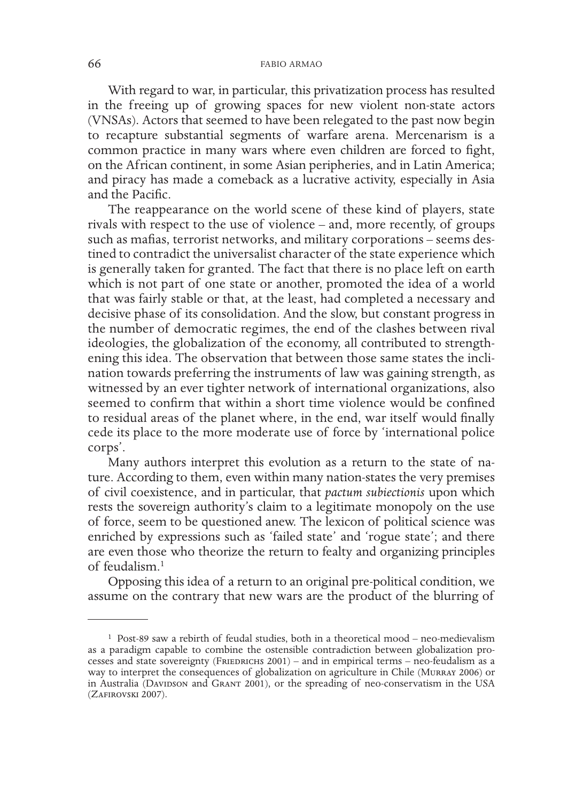With regard to war, in particular, this privatization process has resulted in the freeing up of growing spaces for new violent non-state actors (VNSAs). Actors that seemed to have been relegated to the past now begin to recapture substantial segments of warfare arena. Mercenarism is a common practice in many wars where even children are forced to fight, on the African continent, in some Asian peripheries, and in Latin America; and piracy has made a comeback as a lucrative activity, especially in Asia and the Pacific.

The reappearance on the world scene of these kind of players, state rivals with respect to the use of violence – and, more recently, of groups such as mafias, terrorist networks, and military corporations – seems destined to contradict the universalist character of the state experience which is generally taken for granted. The fact that there is no place left on earth which is not part of one state or another, promoted the idea of a world that was fairly stable or that, at the least, had completed a necessary and decisive phase of its consolidation. And the slow, but constant progress in the number of democratic regimes, the end of the clashes between rival ideologies, the globalization of the economy, all contributed to strengthening this idea. The observation that between those same states the inclination towards preferring the instruments of law was gaining strength, as witnessed by an ever tighter network of international organizations, also seemed to confirm that within a short time violence would be confined to residual areas of the planet where, in the end, war itself would finally cede its place to the more moderate use of force by 'international police corps'.

Many authors interpret this evolution as a return to the state of nature. According to them, even within many nation-states the very premises of civil coexistence, and in particular, that *pactum subiectionis* upon which rests the sovereign authority's claim to a legitimate monopoly on the use of force, seem to be questioned anew. The lexicon of political science was enriched by expressions such as 'failed state' and 'rogue state'; and there are even those who theorize the return to fealty and organizing principles of feudalism.1

Opposing this idea of a return to an original pre-political condition, we assume on the contrary that new wars are the product of the blurring of

<sup>1</sup> Post-89 saw a rebirth of feudal studies, both in a theoretical mood – neo-medievalism as a paradigm capable to combine the ostensible contradiction between globalization processes and state sovereignty (FRIEDRICHS  $2001$ ) – and in empirical terms – neo-feudalism as a way to interpret the consequences of globalization on agriculture in Chile (Murray 2006) or in Australia (DAVIDSON and GRANT 2001), or the spreading of neo-conservatism in the USA (Zafirovski 2007).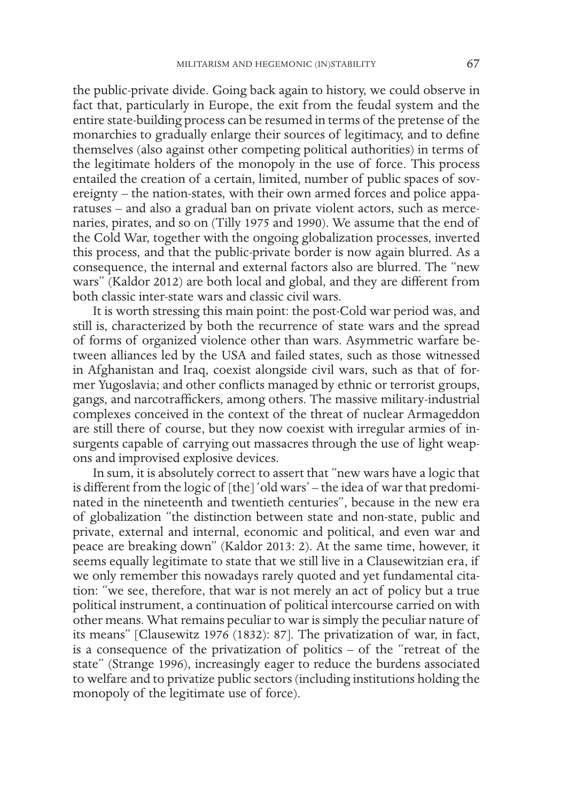the public-private divide. Going back again to history, we could observe in fact that, particularly in Europe, the exit from the feudal system and the entire state-building process can be resumed in terms of the pretense of the monarchies to gradually enlarge their sources of legitimacy, and to define themselves (also against other competing political authorities) in terms of the legitimate holders of the monopoly in the use of force. This process entailed the creation of a certain, limited, number of public spaces of sovereignty – the nation-states, with their own armed forces and police apparatuses – and also a gradual ban on private violent actors, such as mercenaries, pirates, and so on (Tilly 1975 and 1990). We assume that the end of the Cold War, together with the ongoing globalization processes, inverted this process, and that the public-private border is now again blurred. As a consequence, the internal and external factors also are blurred. The "new wars" (Kaldor 2012) are both local and global, and they are different from both classic inter-state wars and classic civil wars.

It is worth stressing this main point: the post-Cold war period was, and still is, characterized by both the recurrence of state wars and the spread of forms of organized violence other than wars. Asymmetric warfare between alliances led by the USA and failed states, such as those witnessed in Afghanistan and Iraq, coexist alongside civil wars, such as that of former Yugoslavia; and other conflicts managed by ethnic or terrorist groups, gangs, and narcotraffickers, among others. The massive military-industrial complexes conceived in the context of the threat of nuclear Armageddon are still there of course, but they now coexist with irregular armies of insurgents capable of carrying out massacres through the use of light weapons and improvised explosive devices.

In sum, it is absolutely correct to assert that "new wars have a logic that is different from the logic of [the] 'old wars' – the idea of war that predominated in the nineteenth and twentieth centuries", because in the new era of globalization "the distinction between state and non-state, public and private, external and internal, economic and political, and even war and peace are breaking down" (Kaldor 2013: 2). At the same time, however, it seems equally legitimate to state that we still live in a Clausewitzian era, if we only remember this nowadays rarely quoted and yet fundamental citation: "we see, therefore, that war is not merely an act of policy but a true political instrument, a continuation of political intercourse carried on with other means. What remains peculiar to war is simply the peculiar nature of its means" [Clausewitz 1976 (1832): 87]. The privatization of war, in fact, is a consequence of the privatization of politics – of the "retreat of the state" (Strange 1996), increasingly eager to reduce the burdens associated to welfare and to privatize public sectors (including institutions holding the monopoly of the legitimate use of force).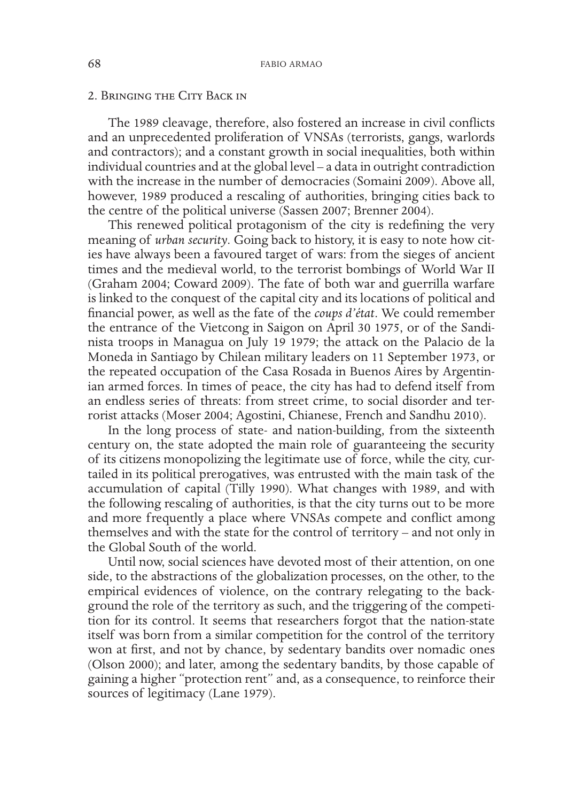### 2. Bringing the City Back in

The 1989 cleavage, therefore, also fostered an increase in civil conflicts and an unprecedented proliferation of VNSAs (terrorists, gangs, warlords and contractors); and a constant growth in social inequalities, both within individual countries and at the global level – a data in outright contradiction with the increase in the number of democracies (Somaini 2009). Above all, however, 1989 produced a rescaling of authorities, bringing cities back to the centre of the political universe (Sassen 2007; Brenner 2004).

This renewed political protagonism of the city is redefining the very meaning of *urban security*. Going back to history, it is easy to note how cities have always been a favoured target of wars: from the sieges of ancient times and the medieval world, to the terrorist bombings of World War II (Graham 2004; Coward 2009). The fate of both war and guerrilla warfare is linked to the conquest of the capital city and its locations of political and financial power, as well as the fate of the *coups d'état*. We could remember the entrance of the Vietcong in Saigon on April 30 1975, or of the Sandinista troops in Managua on July 19 1979; the attack on the Palacio de la Moneda in Santiago by Chilean military leaders on 11 September 1973, or the repeated occupation of the Casa Rosada in Buenos Aires by Argentinian armed forces. In times of peace, the city has had to defend itself from an endless series of threats: from street crime, to social disorder and terrorist attacks (Moser 2004; Agostini, Chianese, French and Sandhu 2010).

In the long process of state- and nation-building, from the sixteenth century on, the state adopted the main role of guaranteeing the security of its citizens monopolizing the legitimate use of force, while the city, curtailed in its political prerogatives, was entrusted with the main task of the accumulation of capital (Tilly 1990). What changes with 1989, and with the following rescaling of authorities, is that the city turns out to be more and more frequently a place where VNSAs compete and conflict among themselves and with the state for the control of territory – and not only in the Global South of the world.

Until now, social sciences have devoted most of their attention, on one side, to the abstractions of the globalization processes, on the other, to the empirical evidences of violence, on the contrary relegating to the background the role of the territory as such, and the triggering of the competition for its control. It seems that researchers forgot that the nation-state itself was born from a similar competition for the control of the territory won at first, and not by chance, by sedentary bandits over nomadic ones (Olson 2000); and later, among the sedentary bandits, by those capable of gaining a higher "protection rent" and, as a consequence, to reinforce their sources of legitimacy (Lane 1979).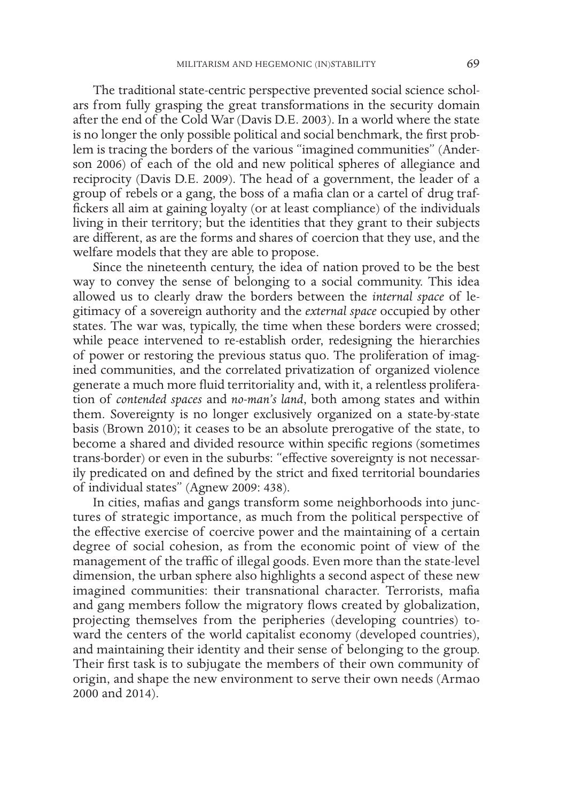The traditional state-centric perspective prevented social science scholars from fully grasping the great transformations in the security domain after the end of the Cold War (Davis D.E. 2003). In a world where the state is no longer the only possible political and social benchmark, the first problem is tracing the borders of the various "imagined communities" (Anderson 2006) of each of the old and new political spheres of allegiance and reciprocity (Davis D.E. 2009). The head of a government, the leader of a group of rebels or a gang, the boss of a mafia clan or a cartel of drug traffickers all aim at gaining loyalty (or at least compliance) of the individuals living in their territory; but the identities that they grant to their subjects are different, as are the forms and shares of coercion that they use, and the welfare models that they are able to propose.

Since the nineteenth century, the idea of nation proved to be the best way to convey the sense of belonging to a social community. This idea allowed us to clearly draw the borders between the *internal space* of legitimacy of a sovereign authority and the *external space* occupied by other states. The war was, typically, the time when these borders were crossed; while peace intervened to re-establish order, redesigning the hierarchies of power or restoring the previous status quo. The proliferation of imagined communities, and the correlated privatization of organized violence generate a much more fluid territoriality and, with it, a relentless proliferation of *contended spaces* and *no-man's land*, both among states and within them. Sovereignty is no longer exclusively organized on a state-by-state basis (Brown 2010); it ceases to be an absolute prerogative of the state, to become a shared and divided resource within specific regions (sometimes trans-border) or even in the suburbs: "effective sovereignty is not necessarily predicated on and defined by the strict and fixed territorial boundaries of individual states" (Agnew 2009: 438).

In cities, mafias and gangs transform some neighborhoods into junctures of strategic importance, as much from the political perspective of the effective exercise of coercive power and the maintaining of a certain degree of social cohesion, as from the economic point of view of the management of the traffic of illegal goods. Even more than the state-level dimension, the urban sphere also highlights a second aspect of these new imagined communities: their transnational character. Terrorists, mafia and gang members follow the migratory flows created by globalization, projecting themselves from the peripheries (developing countries) toward the centers of the world capitalist economy (developed countries), and maintaining their identity and their sense of belonging to the group. Their first task is to subjugate the members of their own community of origin, and shape the new environment to serve their own needs (Armao 2000 and 2014).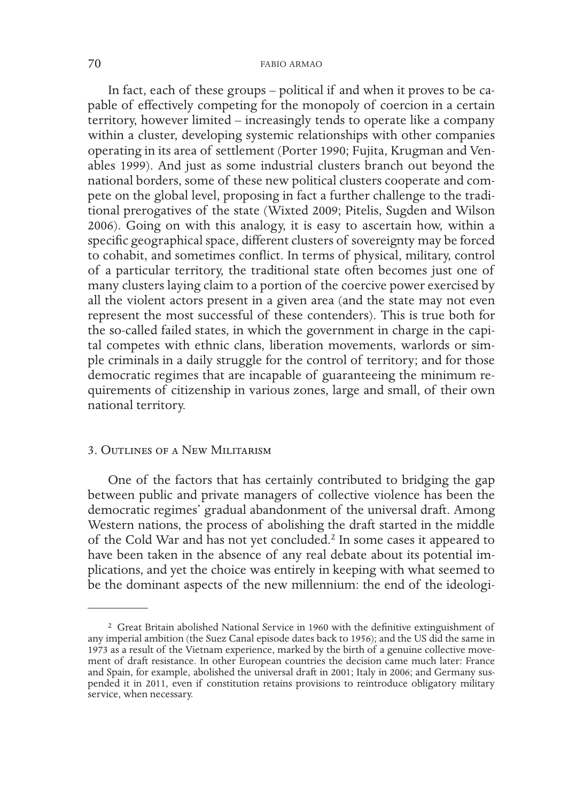### 70 FABIO ARMAO

In fact, each of these groups – political if and when it proves to be capable of effectively competing for the monopoly of coercion in a certain territory, however limited – increasingly tends to operate like a company within a cluster, developing systemic relationships with other companies operating in its area of settlement (Porter 1990; Fujita, Krugman and Venables 1999). And just as some industrial clusters branch out beyond the national borders, some of these new political clusters cooperate and compete on the global level, proposing in fact a further challenge to the traditional prerogatives of the state (Wixted 2009; Pitelis, Sugden and Wilson 2006). Going on with this analogy, it is easy to ascertain how, within a specific geographical space, different clusters of sovereignty may be forced to cohabit, and sometimes conflict. In terms of physical, military, control of a particular territory, the traditional state often becomes just one of many clusters laying claim to a portion of the coercive power exercised by all the violent actors present in a given area (and the state may not even represent the most successful of these contenders). This is true both for the so-called failed states, in which the government in charge in the capital competes with ethnic clans, liberation movements, warlords or simple criminals in a daily struggle for the control of territory; and for those democratic regimes that are incapable of guaranteeing the minimum requirements of citizenship in various zones, large and small, of their own national territory.

### 3. Outlines of a New Militarism

One of the factors that has certainly contributed to bridging the gap between public and private managers of collective violence has been the democratic regimes' gradual abandonment of the universal draft. Among Western nations, the process of abolishing the draft started in the middle of the Cold War and has not yet concluded.<sup>2</sup> In some cases it appeared to have been taken in the absence of any real debate about its potential implications, and yet the choice was entirely in keeping with what seemed to be the dominant aspects of the new millennium: the end of the ideologi-

<sup>2</sup> Great Britain abolished National Service in 1960 with the definitive extinguishment of any imperial ambition (the Suez Canal episode dates back to 1956); and the US did the same in 1973 as a result of the Vietnam experience, marked by the birth of a genuine collective movement of draft resistance. In other European countries the decision came much later: France and Spain, for example, abolished the universal draft in 2001; Italy in 2006; and Germany suspended it in 2011, even if constitution retains provisions to reintroduce obligatory military service, when necessary.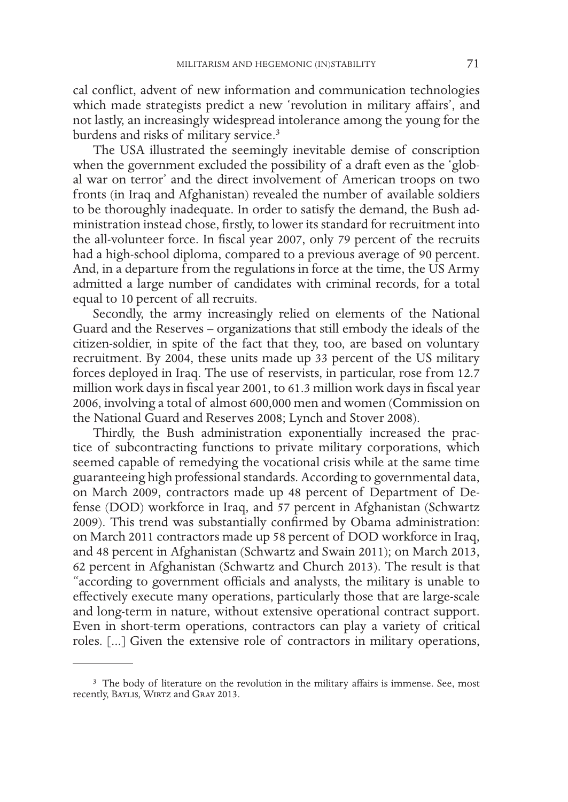cal conflict, advent of new information and communication technologies which made strategists predict a new 'revolution in military affairs', and not lastly, an increasingly widespread intolerance among the young for the burdens and risks of military service.<sup>3</sup>

The USA illustrated the seemingly inevitable demise of conscription when the government excluded the possibility of a draft even as the 'global war on terror' and the direct involvement of American troops on two fronts (in Iraq and Afghanistan) revealed the number of available soldiers to be thoroughly inadequate. In order to satisfy the demand, the Bush administration instead chose, firstly, to lower its standard for recruitment into the all-volunteer force. In fiscal year 2007, only 79 percent of the recruits had a high-school diploma, compared to a previous average of 90 percent. And, in a departure from the regulations in force at the time, the US Army admitted a large number of candidates with criminal records, for a total equal to 10 percent of all recruits.

Secondly, the army increasingly relied on elements of the National Guard and the Reserves – organizations that still embody the ideals of the citizen-soldier, in spite of the fact that they, too, are based on voluntary recruitment. By 2004, these units made up 33 percent of the US military forces deployed in Iraq. The use of reservists, in particular, rose from 12.7 million work days in fiscal year 2001, to 61.3 million work days in fiscal year 2006, involving a total of almost 600,000 men and women (Commission on the National Guard and Reserves 2008; Lynch and Stover 2008).

Thirdly, the Bush administration exponentially increased the practice of subcontracting functions to private military corporations, which seemed capable of remedying the vocational crisis while at the same time guaranteeing high professional standards. According to governmental data, on March 2009, contractors made up 48 percent of Department of Defense (DOD) workforce in Iraq, and 57 percent in Afghanistan (Schwartz 2009). This trend was substantially confirmed by Obama administration: on March 2011 contractors made up 58 percent of DOD workforce in Iraq, and 48 percent in Afghanistan (Schwartz and Swain 2011); on March 2013, 62 percent in Afghanistan (Schwartz and Church 2013). The result is that "according to government officials and analysts, the military is unable to effectively execute many operations, particularly those that are large-scale and long-term in nature, without extensive operational contract support. Even in short-term operations, contractors can play a variety of critical roles. [...] Given the extensive role of contractors in military operations,

<sup>&</sup>lt;sup>3</sup> The body of literature on the revolution in the military affairs is immense. See, most recently, Baylis, Wirtz and Gray 2013.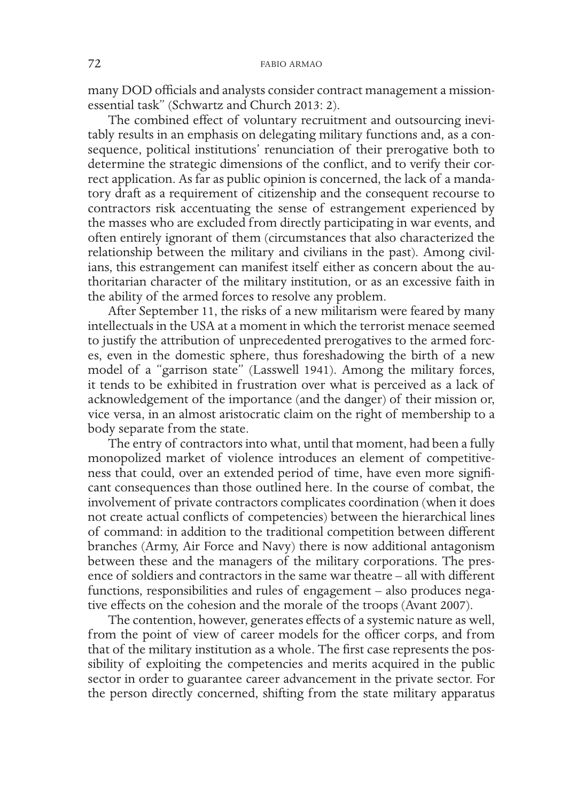many DOD officials and analysts consider contract management a missionessential task" (Schwartz and Church 2013: 2).

The combined effect of voluntary recruitment and outsourcing inevitably results in an emphasis on delegating military functions and, as a consequence, political institutions' renunciation of their prerogative both to determine the strategic dimensions of the conflict, and to verify their correct application. As far as public opinion is concerned, the lack of a mandatory draft as a requirement of citizenship and the consequent recourse to contractors risk accentuating the sense of estrangement experienced by the masses who are excluded from directly participating in war events, and often entirely ignorant of them (circumstances that also characterized the relationship between the military and civilians in the past). Among civilians, this estrangement can manifest itself either as concern about the authoritarian character of the military institution, or as an excessive faith in the ability of the armed forces to resolve any problem.

After September 11, the risks of a new militarism were feared by many intellectuals in the USA at a moment in which the terrorist menace seemed to justify the attribution of unprecedented prerogatives to the armed forces, even in the domestic sphere, thus foreshadowing the birth of a new model of a "garrison state" (Lasswell 1941). Among the military forces, it tends to be exhibited in frustration over what is perceived as a lack of acknowledgement of the importance (and the danger) of their mission or, vice versa, in an almost aristocratic claim on the right of membership to a body separate from the state.

The entry of contractors into what, until that moment, had been a fully monopolized market of violence introduces an element of competitiveness that could, over an extended period of time, have even more significant consequences than those outlined here. In the course of combat, the involvement of private contractors complicates coordination (when it does not create actual conflicts of competencies) between the hierarchical lines of command: in addition to the traditional competition between different branches (Army, Air Force and Navy) there is now additional antagonism between these and the managers of the military corporations. The presence of soldiers and contractors in the same war theatre – all with different functions, responsibilities and rules of engagement – also produces negative effects on the cohesion and the morale of the troops (Avant 2007).

The contention, however, generates effects of a systemic nature as well, from the point of view of career models for the officer corps, and from that of the military institution as a whole. The first case represents the possibility of exploiting the competencies and merits acquired in the public sector in order to guarantee career advancement in the private sector. For the person directly concerned, shifting from the state military apparatus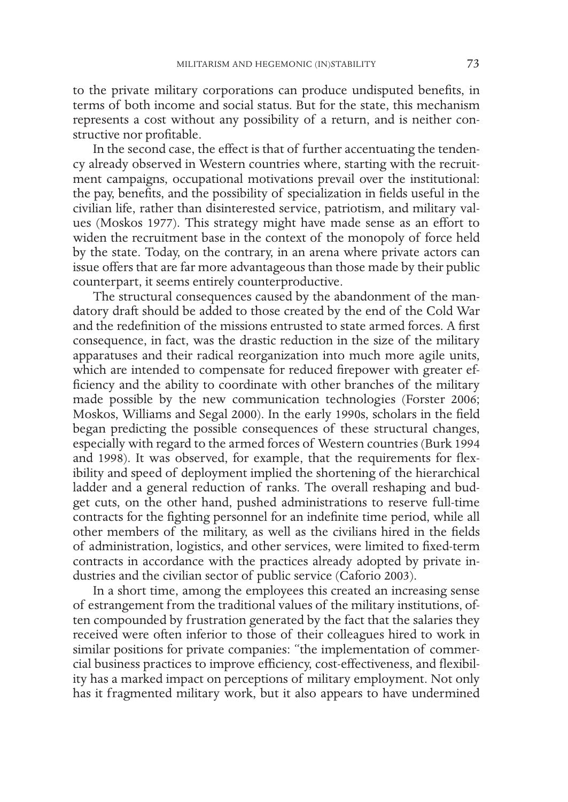to the private military corporations can produce undisputed benefits, in terms of both income and social status. But for the state, this mechanism represents a cost without any possibility of a return, and is neither constructive nor profitable.

In the second case, the effect is that of further accentuating the tendency already observed in Western countries where, starting with the recruitment campaigns, occupational motivations prevail over the institutional: the pay, benefits, and the possibility of specialization in fields useful in the civilian life, rather than disinterested service, patriotism, and military values (Moskos 1977). This strategy might have made sense as an effort to widen the recruitment base in the context of the monopoly of force held by the state. Today, on the contrary, in an arena where private actors can issue offers that are far more advantageous than those made by their public counterpart, it seems entirely counterproductive.

The structural consequences caused by the abandonment of the mandatory draft should be added to those created by the end of the Cold War and the redefinition of the missions entrusted to state armed forces. A first consequence, in fact, was the drastic reduction in the size of the military apparatuses and their radical reorganization into much more agile units, which are intended to compensate for reduced firepower with greater efficiency and the ability to coordinate with other branches of the military made possible by the new communication technologies (Forster 2006; Moskos, Williams and Segal 2000). In the early 1990s, scholars in the field began predicting the possible consequences of these structural changes, especially with regard to the armed forces of Western countries (Burk 1994 and 1998). It was observed, for example, that the requirements for flexibility and speed of deployment implied the shortening of the hierarchical ladder and a general reduction of ranks. The overall reshaping and budget cuts, on the other hand, pushed administrations to reserve full-time contracts for the fighting personnel for an indefinite time period, while all other members of the military, as well as the civilians hired in the fields of administration, logistics, and other services, were limited to fixed-term contracts in accordance with the practices already adopted by private industries and the civilian sector of public service (Caforio 2003).

In a short time, among the employees this created an increasing sense of estrangement from the traditional values of the military institutions, often compounded by frustration generated by the fact that the salaries they received were often inferior to those of their colleagues hired to work in similar positions for private companies: "the implementation of commercial business practices to improve efficiency, cost-effectiveness, and flexibility has a marked impact on perceptions of military employment. Not only has it fragmented military work, but it also appears to have undermined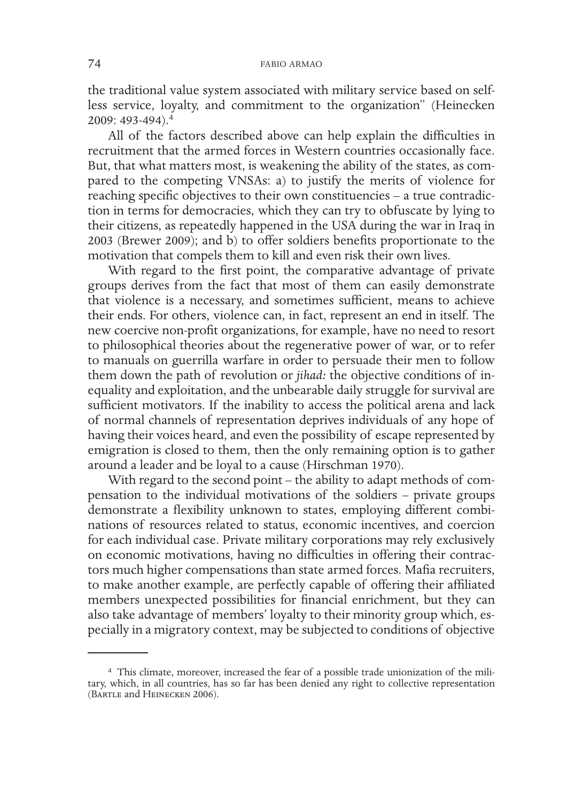the traditional value system associated with military service based on selfless service, loyalty, and commitment to the organization" (Heinecken 2009: 493-494).<sup>4</sup>

All of the factors described above can help explain the difficulties in recruitment that the armed forces in Western countries occasionally face. But, that what matters most, is weakening the ability of the states, as compared to the competing VNSAs: a) to justify the merits of violence for reaching specific objectives to their own constituencies – a true contradiction in terms for democracies, which they can try to obfuscate by lying to their citizens, as repeatedly happened in the USA during the war in Iraq in 2003 (Brewer 2009); and b) to offer soldiers benefits proportionate to the motivation that compels them to kill and even risk their own lives.

With regard to the first point, the comparative advantage of private groups derives from the fact that most of them can easily demonstrate that violence is a necessary, and sometimes sufficient, means to achieve their ends. For others, violence can, in fact, represent an end in itself. The new coercive non-profit organizations, for example, have no need to resort to philosophical theories about the regenerative power of war, or to refer to manuals on guerrilla warfare in order to persuade their men to follow them down the path of revolution or *jihad:* the objective conditions of inequality and exploitation, and the unbearable daily struggle for survival are sufficient motivators. If the inability to access the political arena and lack of normal channels of representation deprives individuals of any hope of having their voices heard, and even the possibility of escape represented by emigration is closed to them, then the only remaining option is to gather around a leader and be loyal to a cause (Hirschman 1970).

With regard to the second point – the ability to adapt methods of compensation to the individual motivations of the soldiers – private groups demonstrate a flexibility unknown to states, employing different combinations of resources related to status, economic incentives, and coercion for each individual case. Private military corporations may rely exclusively on economic motivations, having no difficulties in offering their contractors much higher compensations than state armed forces. Mafia recruiters, to make another example, are perfectly capable of offering their affiliated members unexpected possibilities for financial enrichment, but they can also take advantage of members' loyalty to their minority group which, especially in a migratory context, may be subjected to conditions of objective

<sup>4</sup> This climate, moreover, increased the fear of a possible trade unionization of the military, which, in all countries, has so far has been denied any right to collective representation (Bartle and Heinecken 2006).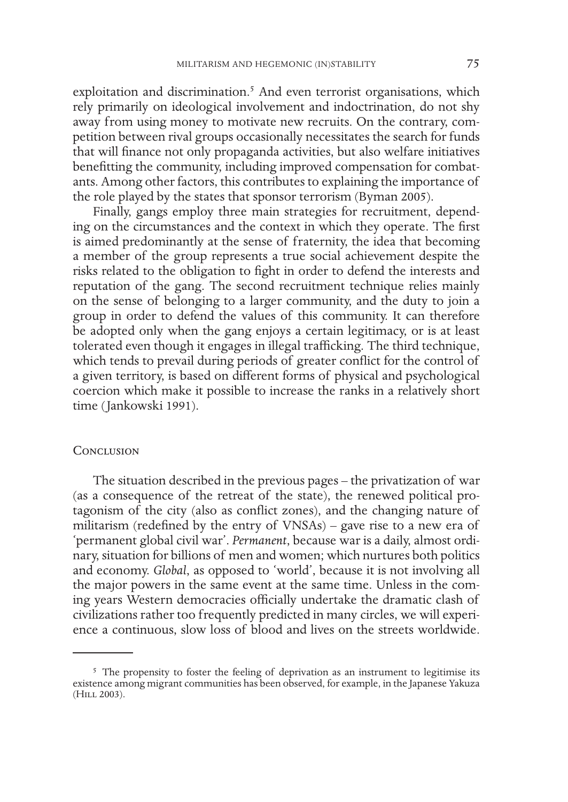exploitation and discrimination.<sup>5</sup> And even terrorist organisations, which rely primarily on ideological involvement and indoctrination, do not shy away from using money to motivate new recruits. On the contrary, competition between rival groups occasionally necessitates the search for funds that will finance not only propaganda activities, but also welfare initiatives benefitting the community, including improved compensation for combatants. Among other factors, this contributes to explaining the importance of the role played by the states that sponsor terrorism (Byman 2005).

Finally, gangs employ three main strategies for recruitment, depending on the circumstances and the context in which they operate. The first is aimed predominantly at the sense of fraternity, the idea that becoming a member of the group represents a true social achievement despite the risks related to the obligation to fight in order to defend the interests and reputation of the gang. The second recruitment technique relies mainly on the sense of belonging to a larger community, and the duty to join a group in order to defend the values of this community. It can therefore be adopted only when the gang enjoys a certain legitimacy, or is at least tolerated even though it engages in illegal trafficking. The third technique, which tends to prevail during periods of greater conflict for the control of a given territory, is based on different forms of physical and psychological coercion which make it possible to increase the ranks in a relatively short time (Jankowski 1991).

### **CONCLUSION**

The situation described in the previous pages – the privatization of war (as a consequence of the retreat of the state), the renewed political protagonism of the city (also as conflict zones), and the changing nature of militarism (redefined by the entry of VNSAs) – gave rise to a new era of 'permanent global civil war'. *Permanent*, because war is a daily, almost ordinary, situation for billions of men and women; which nurtures both politics and economy. *Global*, as opposed to 'world', because it is not involving all the major powers in the same event at the same time. Unless in the coming years Western democracies officially undertake the dramatic clash of civilizations rather too frequently predicted in many circles, we will experience a continuous, slow loss of blood and lives on the streets worldwide.

<sup>&</sup>lt;sup>5</sup> The propensity to foster the feeling of deprivation as an instrument to legitimise its existence among migrant communities has been observed, for example, in the Japanese Yakuza (Hill 2003).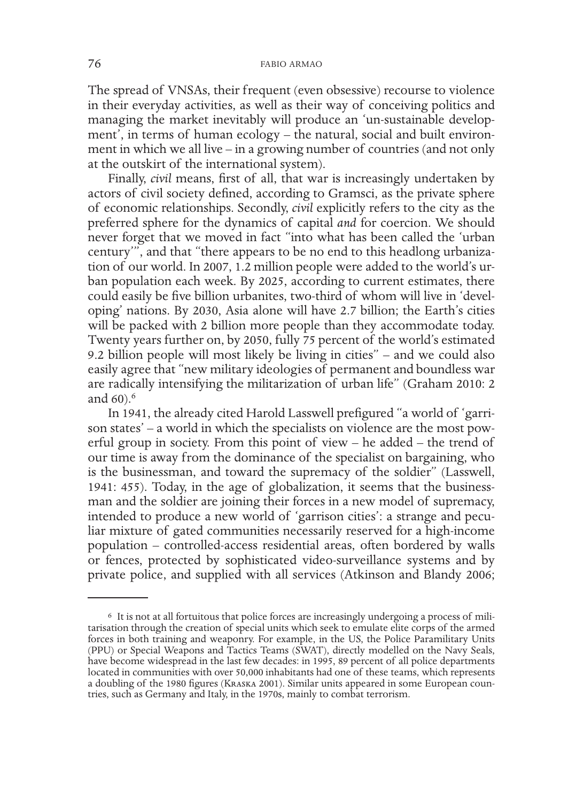The spread of VNSAs, their frequent (even obsessive) recourse to violence in their everyday activities, as well as their way of conceiving politics and managing the market inevitably will produce an 'un-sustainable development', in terms of human ecology – the natural, social and built environment in which we all live – in a growing number of countries (and not only at the outskirt of the international system).

Finally, *civil* means, first of all, that war is increasingly undertaken by actors of civil society defined, according to Gramsci, as the private sphere of economic relationships. Secondly, *civil* explicitly refers to the city as the preferred sphere for the dynamics of capital *and* for coercion. We should never forget that we moved in fact "into what has been called the 'urban century'", and that "there appears to be no end to this headlong urbanization of our world. In 2007, 1.2 million people were added to the world's urban population each week. By 2025, according to current estimates, there could easily be five billion urbanites, two-third of whom will live in 'developing' nations. By 2030, Asia alone will have 2.7 billion; the Earth's cities will be packed with 2 billion more people than they accommodate today. Twenty years further on, by 2050, fully 75 percent of the world's estimated 9.2 billion people will most likely be living in cities" – and we could also easily agree that "new military ideologies of permanent and boundless war are radically intensifying the militarization of urban life" (Graham 2010: 2 and 60).<sup>6</sup>

In 1941, the already cited Harold Lasswell prefigured "a world of 'garrison states' – a world in which the specialists on violence are the most powerful group in society. From this point of view – he added – the trend of our time is away from the dominance of the specialist on bargaining, who is the businessman, and toward the supremacy of the soldier" (Lasswell, 1941: 455). Today, in the age of globalization, it seems that the businessman and the soldier are joining their forces in a new model of supremacy, intended to produce a new world of 'garrison cities': a strange and peculiar mixture of gated communities necessarily reserved for a high-income population – controlled-access residential areas, often bordered by walls or fences, protected by sophisticated video-surveillance systems and by private police, and supplied with all services (Atkinson and Blandy 2006;

<sup>6</sup> It is not at all fortuitous that police forces are increasingly undergoing a process of mili- tarisation through the creation of special units which seek to emulate elite corps of the armed forces in both training and weaponry. For example, in the US, the Police Paramilitary Units (PPU) or Special Weapons and Tactics Teams (SWAT), directly modelled on the Navy Seals, have become widespread in the last few decades: in 1995, 89 percent of all police departments located in communities with over 50,000 inhabitants had one of these teams, which represents a doubling of the 1980 figures (Kraska 2001). Similar units appeared in some European coun- tries, such as Germany and Italy, in the 1970s, mainly to combat terrorism.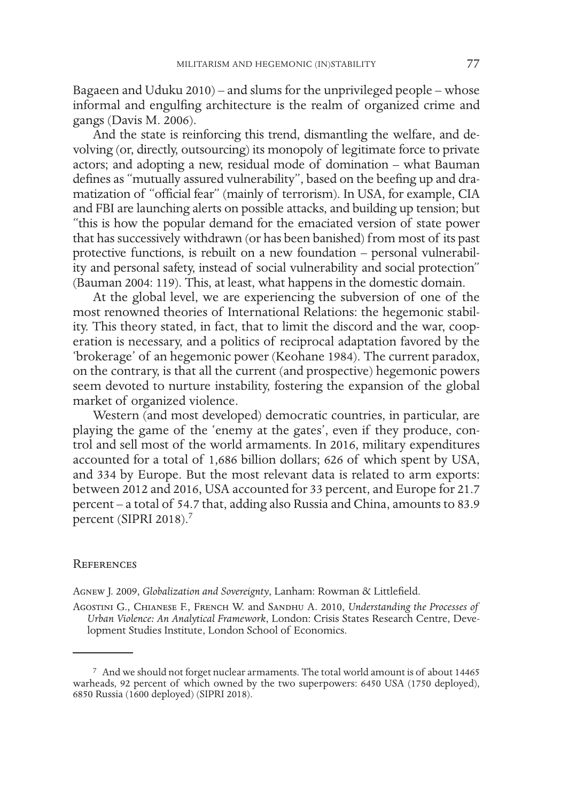Bagaeen and Uduku 2010) – and slums for the unprivileged people – whose informal and engulfing architecture is the realm of organized crime and gangs (Davis M. 2006).

And the state is reinforcing this trend, dismantling the welfare, and devolving (or, directly, outsourcing) its monopoly of legitimate force to private actors; and adopting a new, residual mode of domination – what Bauman defines as "mutually assured vulnerability", based on the beefing up and dramatization of "official fear" (mainly of terrorism). In USA, for example, CIA and FBI are launching alerts on possible attacks, and building up tension; but "this is how the popular demand for the emaciated version of state power that has successively withdrawn (or has been banished) from most of its past protective functions, is rebuilt on a new foundation – personal vulnerability and personal safety, instead of social vulnerability and social protection" (Bauman 2004: 119). This, at least, what happens in the domestic domain.

At the global level, we are experiencing the subversion of one of the most renowned theories of International Relations: the hegemonic stability. This theory stated, in fact, that to limit the discord and the war, cooperation is necessary, and a politics of reciprocal adaptation favored by the 'brokerage' of an hegemonic power (Keohane 1984). The current paradox, on the contrary, is that all the current (and prospective) hegemonic powers seem devoted to nurture instability, fostering the expansion of the global market of organized violence.

Western (and most developed) democratic countries, in particular, are playing the game of the 'enemy at the gates', even if they produce, control and sell most of the world armaments. In 2016, military expenditures accounted for a total of 1,686 billion dollars; 626 of which spent by USA, and 334 by Europe. But the most relevant data is related to arm exports: between 2012 and 2016, USA accounted for 33 percent, and Europe for 21.7 percent – a total of 54.7 that, adding also Russia and China, amounts to 83.9 percent (SIPRI 2018).<sup>7</sup>

#### **REFERENCES**

Agnew J. 2009, *Globalization and Sovereignty*, Lanham: Rowman & Littlefield.

Agostini G., Chianese F., French W. and Sandhu A. 2010, *Understanding the Processes of Urban Violence: An Analytical Framework*, London: Crisis States Research Centre, Development Studies Institute, London School of Economics.

<sup>7</sup> And we should not forget nuclear armaments. The total world amount is of about 14465 warheads, 92 percent of which owned by the two superpowers: 6450 USA (1750 deployed), 6850 Russia (1600 deployed) (SIPRI 2018).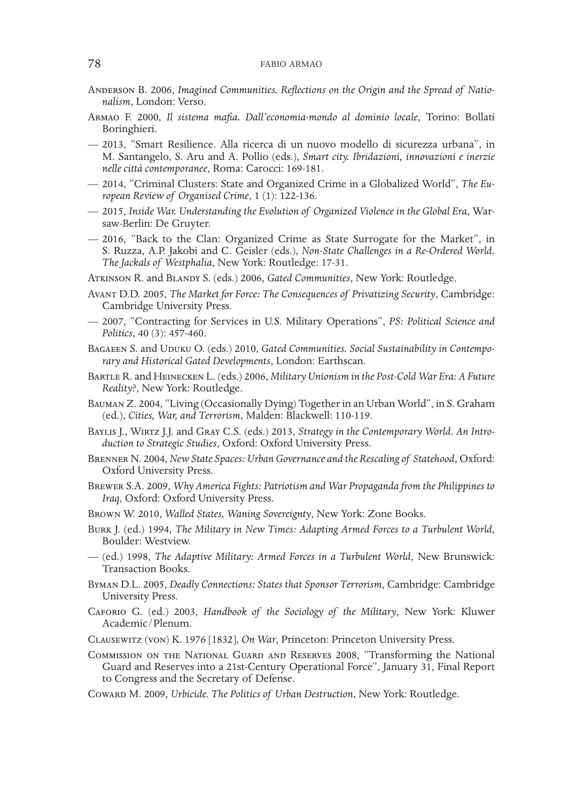- ANDERSON B. 2006, *Imagined Communities. Reflections on the Origin and the Spread of Nationalism*, London: Verso.
- Armao F. 2000, *Il sistema mafia. Dall'economia-mondo al dominio locale*, Torino: Bollati Boringhieri.
- 2013, "Smart Resilience. Alla ricerca di un nuovo modello di sicurezza urbana", in M. Santangelo, S. Aru and A. Pollio (eds.), *Smart city. Ibridazioni, innovazioni e inerzie nelle città contemporanee*, Roma: Carocci: 169-181.
- 2014, "Criminal Clusters: State and Organized Crime in a Globalized World", *The European Review of Organised Crime*, 1 (1): 122-136.
- 2015, *Inside War. Understanding the Evolution of Organized Violence in the Global Era*, Warsaw-Berlin: De Gruyter.
- 2016, "Back to the Clan: Organized Crime as State Surrogate for the Market", in S. Ruzza, A.P. Jakobi and C. Geisler (eds.), *Non-State Challenges in a Re-Ordered World. The Jackals of Westphalia*, New York: Routledge: 17-31.

Atkinson R. and Blandy S. (eds.) 2006, *Gated Communities*, New York: Routledge.

- Avant D.D. 2005, *The Market for Force: The Consequences of Privatizing Security*, Cambridge: Cambridge University Press.
- 2007, "Contracting for Services in U.S. Military Operations", *PS: Political Science and Politics*, 40 (3): 457-460.
- BAGAEEN S. and UDUKU O. (eds.) 2010, *Gated Communities. Social Sustainability in Contemporary and Historical Gated Developments*, London: Earthscan.
- Bartle R. and Heinecken L. (eds.) 2006, *Military Unionism in the Post-Cold War Era: A Future Reality?*, New York: Routledge.
- Bauman Z. 2004, "Living (Occasionally Dying) Together in an Urban World", in S. Graham (ed.), *Cities, War, and Terrorism*, Malden: Blackwell: 110-119.
- Baylis J., Wirtz J.J. and Gray C.S. (eds.) 2013, *Strategy in the Contemporary World. An Introduction to Strategic Studies*, Oxford: Oxford University Press.
- Brenner N. 2004, *New State Spaces: Urban Governance and the Rescaling of Statehood*, Oxford: Oxford University Press.
- Brewer S.A. 2009, *Why America Fights: Patriotism and War Propaganda from the Philippines to Iraq*, Oxford: Oxford University Press.
- Brown W. 2010, *Walled States, Waning Sovereignty*, New York: Zone Books.
- Burk J. (ed.) 1994, *The Military in New Times: Adapting Armed Forces to a Turbulent World*, Boulder: Westview.
- (ed.) 1998, *The Adaptive Military: Armed Forces in a Turbulent World*, New Brunswick: Transaction Books.
- Byman D.L. 2005, *Deadly Connections: States that Sponsor Terrorism*, Cambridge: Cambridge University Press.
- Caforio G. (ed.) 2003, *Handbook of the Sociology of the Military*, New York: Kluwer Academic/Plenum.
- Clausewitz (von) K. 1976 [1832], *On War*, Princeton: Princeton University Press.
- Commission on the National Guard and Reserves 2008, "Transforming the National Guard and Reserves into a 21st-Century Operational Force", January 31, Final Report to Congress and the Secretary of Defense.

Coward M. 2009, *Urbicide. The Politics of Urban Destruction*, New York: Routledge.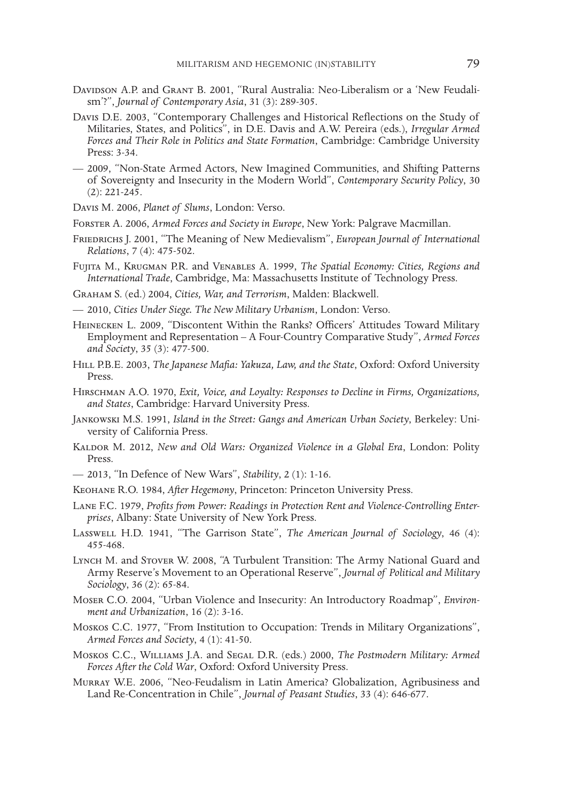- Davidson A.P. and Grant B. 2001, "Rural Australia: Neo-Liberalism or a 'New Feudalism'?", *Journal of Contemporary Asia*, 31 (3): 289-305.
- Davis D.E. 2003, "Contemporary Challenges and Historical Reflections on the Study of Militaries, States, and Politics", in D.E. Davis and A.W. Pereira (eds.), *Irregular Armed Forces and Their Role in Politics and State Formation*, Cambridge: Cambridge University Press: 3-34.
- 2009, "Non-State Armed Actors, New Imagined Communities, and Shifting Patterns of Sovereignty and Insecurity in the Modern World", *Contemporary Security Policy*, 30 (2): 221-245.
- Davis M. 2006, *Planet of Slums*, London: Verso.
- Forster A. 2006, *Armed Forces and Society in Europe*, New York: Palgrave Macmillan.
- Friedrichs J. 2001, "The Meaning of New Medievalism", *European Journal of International Relations*, 7 (4): 475-502.
- Fujita M., Krugman P.R. and Venables A. 1999, *The Spatial Economy: Cities, Regions and International Trade*, Cambridge, Ma: Massachusetts Institute of Technology Press.
- Graham S. (ed.) 2004, *Cities, War, and Terrorism*, Malden: Blackwell.
- 2010, *Cities Under Siege. The New Military Urbanism*, London: Verso.
- Heinecken L. 2009, "Discontent Within the Ranks? Officers' Attitudes Toward Military Employment and Representation – A Four-Country Comparative Study", *Armed Forces and Society*, 35 (3): 477-500.
- Hill P.B.E. 2003, *The Japanese Mafia: Yakuza, Law, and the State*, Oxford: Oxford University Press.
- Hirschman A.O. 1970, *Exit, Voice, and Loyalty: Responses to Decline in Firms, Organizations, and States*, Cambridge: Harvard University Press.
- Jankowski M.S. 1991, *Island in the Street: Gangs and American Urban Society*, Berkeley: University of California Press.
- KALDOR M. 2012, *New and Old Wars: Organized Violence in a Global Era*, London: Polity Press.
- 2013, "In Defence of New Wars", *Stability*, 2 (1): 1-16.
- Keohane R.O. 1984, *After Hegemony*, Princeton: Princeton University Press.
- Lane F.C. 1979, *Profits from Power: Readings in Protection Rent and Violence-Controlling Enterprises*, Albany: State University of New York Press.
- Lasswell H.D. 1941, "The Garrison State", *The American Journal of Sociology*, 46 (4): 455-468.
- Lynch M. and Stover W. 2008, "A Turbulent Transition: The Army National Guard and Army Reserve's Movement to an Operational Reserve", *Journal of Political and Military Sociology*, 36 (2): 65-84.
- Moser C.O. 2004, "Urban Violence and Insecurity: An Introductory Roadmap", *Environment and Urbanization*, 16 (2): 3-16.
- Moskos C.C. 1977, "From Institution to Occupation: Trends in Military Organizations", *Armed Forces and Society*, 4 (1): 41-50.
- Moskos C.C., Williams J.A. and Segal D.R. (eds.) 2000, *The Postmodern Military: Armed Forces After the Cold War*, Oxford: Oxford University Press.
- Murray W.E. 2006, "Neo-Feudalism in Latin America? Globalization, Agribusiness and Land Re-Concentration in Chile", *Journal of Peasant Studies*, 33 (4): 646-677.